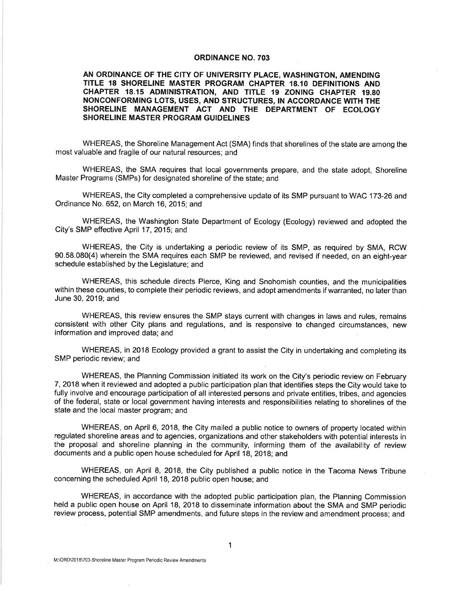#### **ORDINANCE NO. 703**

AN ORDINANCE OF THE CITY OF UNIVERSITY PLACE, WASHINGTON, AMENDING TITLE 18 SHORELINE MASTER PROGRAM CHAPTER 18.10 DEFINITIONS AND CHAPTER 18.15 ADMINISTRATION, AND TITLE 19 ZONING CHAPTER 19.80 NONCONFORMING LOTS, USES, AND STRUCTURES, IN ACCORDANCE WITH THE SHORELINE MANAGEMENT ACT AND THE DEPARTMENT OF ECOLOGY **SHORELINE MASTER PROGRAM GUIDELINES** 

WHEREAS, the Shoreline Management Act (SMA) finds that shorelines of the state are among the most valuable and fragile of our natural resources; and

WHEREAS, the SMA requires that local governments prepare, and the state adopt, Shoreline Master Programs (SMPs) for designated shoreline of the state; and

WHEREAS, the City completed a comprehensive update of its SMP pursuant to WAC 173-26 and Ordinance No. 652, on March 16, 2015; and

WHEREAS, the Washington State Department of Ecology (Ecology) reviewed and adopted the City's SMP effective April 17, 2015; and

WHEREAS, the City is undertaking a periodic review of its SMP, as required by SMA, RCW 90.58.080(4) wherein the SMA requires each SMP be reviewed, and revised if needed, on an eight-year schedule established by the Legislature; and

WHEREAS, this schedule directs Pierce, King and Snohomish counties, and the municipalities within these counties, to complete their periodic reviews, and adopt amendments if warranted, no later than June 30, 2019; and

WHEREAS, this review ensures the SMP stays current with changes in laws and rules, remains consistent with other City plans and regulations, and is responsive to changed circumstances, new information and improved data; and

WHEREAS, in 2018 Ecology provided a grant to assist the City in undertaking and completing its SMP periodic review; and

WHEREAS, the Planning Commission initiated its work on the City's periodic review on February 7, 2018 when it reviewed and adopted a public participation plan that identifies steps the City would take to fully involve and encourage participation of all interested persons and private entities, tribes, and agencies of the federal, state or local government having interests and responsibilities relating to shorelines of the state and the local master program; and

WHEREAS, on April 6, 2018, the City mailed a public notice to owners of property located within regulated shoreline areas and to agencies, organizations and other stakeholders with potential interests in the proposal and shoreline planning in the community, informing them of the availability of review documents and a public open house scheduled for April 18, 2018; and

WHEREAS, on April 8, 2018, the City published a public notice in the Tacoma News Tribune concerning the scheduled April 18, 2018 public open house; and

WHEREAS, in accordance with the adopted public participation plan, the Planning Commission held a public open house on April 18, 2018 to disseminate information about the SMA and SMP periodic review process, potential SMP amendments, and future steps in the review and amendment process; and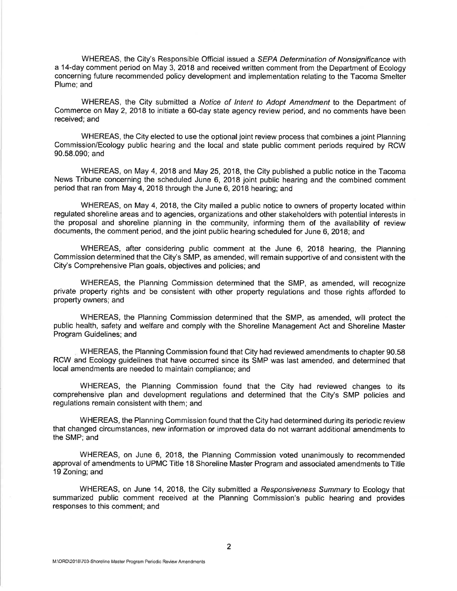WHEREAS, the City's Responsible Official issued a SEPA Determination of Nonsignificance with a 14-day comment period on May 3, 2018 and received written comment from the Department of Ecology concerning future recommended policy development and implementation relating to the Tacoma Smelter Plume: and

WHEREAS, the City submitted a Notice of Intent to Adopt Amendment to the Department of Commerce on May 2, 2018 to initiate a 60-day state agency review period, and no comments have been received: and

WHEREAS, the City elected to use the optional joint review process that combines a joint Planning Commission/Ecology public hearing and the local and state public comment periods required by RCW 90.58.090; and

WHEREAS, on May 4, 2018 and May 25, 2018, the City published a public notice in the Tacoma News Tribune concerning the scheduled June 6, 2018 joint public hearing and the combined comment period that ran from May 4, 2018 through the June 6, 2018 hearing; and

WHEREAS, on May 4, 2018, the City mailed a public notice to owners of property located within regulated shoreline areas and to agencies, organizations and other stakeholders with potential interests in the proposal and shoreline planning in the community, informing them of the availability of review documents, the comment period, and the joint public hearing scheduled for June 6, 2018; and

WHEREAS, after considering public comment at the June 6, 2018 hearing, the Planning Commission determined that the City's SMP, as amended, will remain supportive of and consistent with the City's Comprehensive Plan goals, objectives and policies; and

WHEREAS, the Planning Commission determined that the SMP, as amended, will recognize private property rights and be consistent with other property regulations and those rights afforded to property owners; and

WHEREAS, the Planning Commission determined that the SMP, as amended, will protect the public health, safety and welfare and comply with the Shoreline Management Act and Shoreline Master Program Guidelines; and

WHEREAS, the Planning Commission found that City had reviewed amendments to chapter 90.58 RCW and Ecology guidelines that have occurred since its SMP was last amended, and determined that local amendments are needed to maintain compliance; and

WHEREAS, the Planning Commission found that the City had reviewed changes to its comprehensive plan and development regulations and determined that the City's SMP policies and regulations remain consistent with them; and

WHEREAS, the Planning Commission found that the City had determined during its periodic review that changed circumstances, new information or improved data do not warrant additional amendments to the SMP; and

WHEREAS, on June 6, 2018, the Planning Commission voted unanimously to recommended approval of amendments to UPMC Title 18 Shoreline Master Program and associated amendments to Title 19 Zoning; and

WHEREAS, on June 14, 2018, the City submitted a Responsiveness Summary to Ecology that summarized public comment received at the Planning Commission's public hearing and provides responses to this comment: and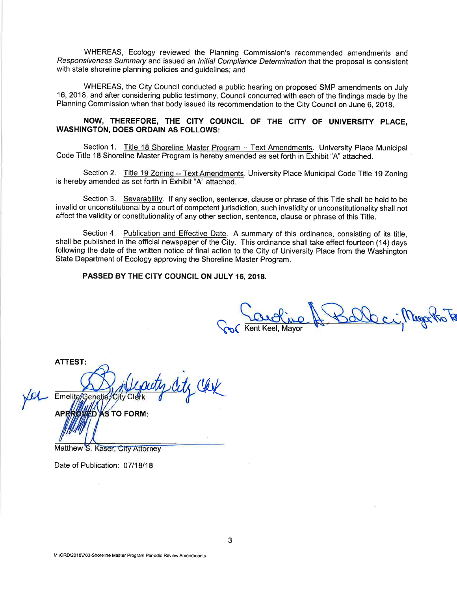WHEREAS, Ecology reviewed the Planning Commission's recommended amendments and Responsiveness Summary and issued an Initial Compliance Determination that the proposal is consistent with state shoreline planning policies and guidelines; and

WHEREAS, the City Council conducted a public hearing on proposed SMP amendments on July 16, 2018, and after considering public testimony, Council concurred with each of the findings made by the Planning Commission when that body issued its recommendation to the City Council on June 6, 2018.

### NOW, THEREFORE, THE CITY COUNCIL OF THE CITY OF UNIVERSITY PLACE. **WASHINGTON, DOES ORDAIN AS FOLLOWS:**

Section 1. Title 18 Shoreline Master Program -- Text Amendments. University Place Municipal Code Title 18 Shoreline Master Program is hereby amended as set forth in Exhibit "A" attached.

Section 2. Title 19 Zoning -- Text Amendments. University Place Municipal Code Title 19 Zoning is hereby amended as set forth in Exhibit "A" attached.

Section 3. Severability. If any section, sentence, clause or phrase of this Title shall be held to be invalid or unconstitutional by a court of competent jurisdiction, such invalidity or unconstitutionality shall not affect the validity or constitutionality of any other section, sentence, clause or phrase of this Title.

Section 4. Publication and Effective Date. A summary of this ordinance, consisting of its title, shall be published in the official newspaper of the City. This ordinance shall take effect fourteen (14) days following the date of the written notice of final action to the City of University Place from the Washington State Department of Ecology approving the Shoreline Master Program.

PASSED BY THE CITY COUNCIL ON JULY 16, 2018.

ent Keel, Mavor

**ATTEST:** Emelita/Genetia/City Clerk **S TO FORM:** 

Matthew S. Kaser, City Attorney

Date of Publication: 07/18/18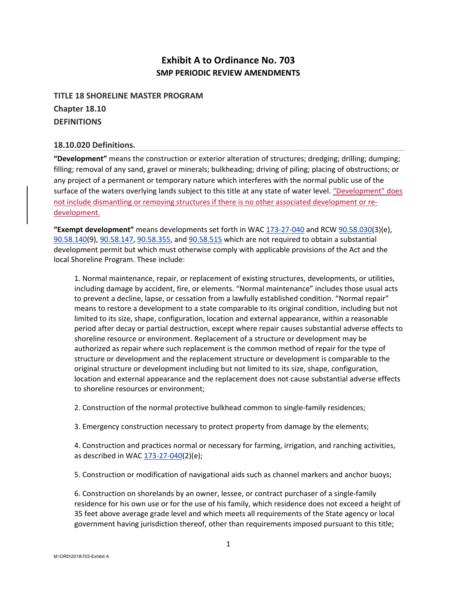# **Exhibit A to Ordinance No. 703 SMP PERIODIC REVIEW AMENDMENTS**

**TITLE 18 SHORELINE MASTER PROGRAM Chapter 18.10 DEFINITIONS** 

### **18.10.020 Definitions.**

**"Development"** means the construction or exterior alteration of structures; dredging; drilling; dumping; filling; removal of any sand, gravel or minerals; bulkheading; driving of piling; placing of obstructions; or any project of a permanent or temporary nature which interferes with the normal public use of the surface of the waters overlying lands subject to this title at any state of water level. "Development" does not include dismantling or removing structures if there is no other associated development or redevelopment.

**"Exempt development"** means developments set forth in WAC 173‐27‐040 and RCW 90.58.030(3)(e), 90.58.140(9), 90.58.147, 90.58.355, and 90.58.515 which are not required to obtain a substantial development permit but which must otherwise comply with applicable provisions of the Act and the local Shoreline Program. These include:

1. Normal maintenance, repair, or replacement of existing structures, developments, or utilities, including damage by accident, fire, or elements. "Normal maintenance" includes those usual acts to prevent a decline, lapse, or cessation from a lawfully established condition. "Normal repair" means to restore a development to a state comparable to its original condition, including but not limited to its size, shape, configuration, location and external appearance, within a reasonable period after decay or partial destruction, except where repair causes substantial adverse effects to shoreline resource or environment. Replacement of a structure or development may be authorized as repair where such replacement is the common method of repair for the type of structure or development and the replacement structure or development is comparable to the original structure or development including but not limited to its size, shape, configuration, location and external appearance and the replacement does not cause substantial adverse effects to shoreline resources or environment;

2. Construction of the normal protective bulkhead common to single‐family residences;

3. Emergency construction necessary to protect property from damage by the elements;

4. Construction and practices normal or necessary for farming, irrigation, and ranching activities, as described in WAC 173-27-040(2)(e);

5. Construction or modification of navigational aids such as channel markers and anchor buoys;

6. Construction on shorelands by an owner, lessee, or contract purchaser of a single‐family residence for his own use or for the use of his family, which residence does not exceed a height of 35 feet above average grade level and which meets all requirements of the State agency or local government having jurisdiction thereof, other than requirements imposed pursuant to this title;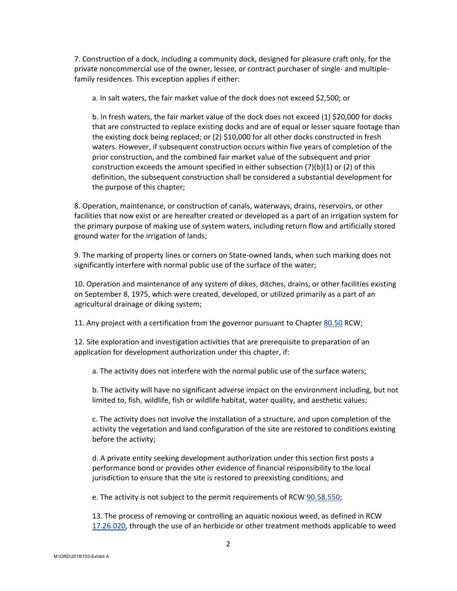7. Construction of a dock, including a community dock, designed for pleasure craft only, for the private noncommercial use of the owner, lessee, or contract purchaser of single- and multiplefamily residences. This exception applies if either:

a. In salt waters, the fair market value of the dock does not exceed \$2,500; or

b. In fresh waters, the fair market value of the dock does not exceed (1) \$20,000 for docks that are constructed to replace existing docks and are of equal or lesser square footage than the existing dock being replaced; or (2) \$10,000 for all other docks constructed in fresh waters. However, if subsequent construction occurs within five years of completion of the prior construction, and the combined fair market value of the subsequent and prior construction exceeds the amount specified in either subsection  $(7)(b)(1)$  or  $(2)$  of this definition, the subsequent construction shall be considered a substantial development for the purpose of this chapter;

8. Operation, maintenance, or construction of canals, waterways, drains, reservoirs, or other facilities that now exist or are hereafter created or developed as a part of an irrigation system for the primary purpose of making use of system waters, including return flow and artificially stored ground water for the irrigation of lands;

9. The marking of property lines or corners on State-owned lands, when such marking does not significantly interfere with normal public use of the surface of the water;

10. Operation and maintenance of any system of dikes, ditches, drains, or other facilities existing on September 8, 1975, which were created, developed, or utilized primarily as a part of an agricultural drainage or diking system;

11. Any project with a certification from the governor pursuant to Chapter 80.50 RCW;

12. Site exploration and investigation activities that are prerequisite to preparation of an application for development authorization under this chapter, if:

a. The activity does not interfere with the normal public use of the surface waters;

b. The activity will have no significant adverse impact on the environment including, but not limited to, fish, wildlife, fish or wildlife habitat, water quality, and aesthetic values;

c. The activity does not involve the installation of a structure, and upon completion of the activity the vegetation and land configuration of the site are restored to conditions existing before the activity;

d. A private entity seeking development authorization under this section first posts a performance bond or provides other evidence of financial responsibility to the local jurisdiction to ensure that the site is restored to preexisting conditions; and

e. The activity is not subject to the permit requirements of RCW 90.58.550;

13. The process of removing or controlling an aquatic noxious weed, as defined in RCW 17.26.020, through the use of an herbicide or other treatment methods applicable to weed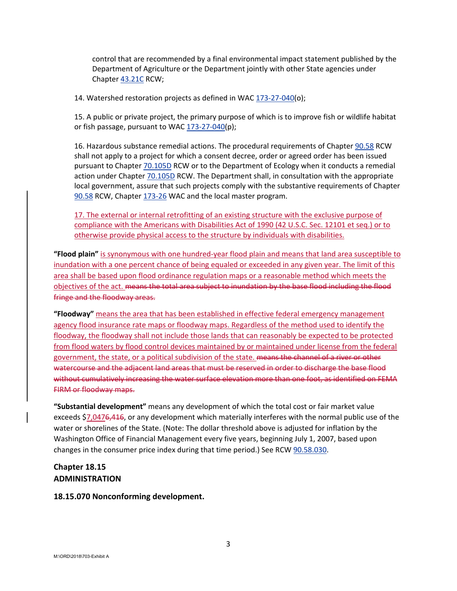control that are recommended by a final environmental impact statement published by the Department of Agriculture or the Department jointly with other State agencies under Chapter 43.21C RCW;

14. Watershed restoration projects as defined in WAC 173-27-040(o);

15. A public or private project, the primary purpose of which is to improve fish or wildlife habitat or fish passage, pursuant to WAC 173-27-040(p);

16. Hazardous substance remedial actions. The procedural requirements of Chapter 90.58 RCW shall not apply to a project for which a consent decree, order or agreed order has been issued pursuant to Chapter 70.105D RCW or to the Department of Ecology when it conducts a remedial action under Chapter 70.105D RCW. The Department shall, in consultation with the appropriate local government, assure that such projects comply with the substantive requirements of Chapter 90.58 RCW, Chapter 173-26 WAC and the local master program.

17. The external or internal retrofitting of an existing structure with the exclusive purpose of compliance with the Americans with Disabilities Act of 1990 (42 U.S.C. Sec. 12101 et seq.) or to otherwise provide physical access to the structure by individuals with disabilities.

**"Flood plain"** is synonymous with one hundred‐year flood plain and means that land area susceptible to inundation with a one percent chance of being equaled or exceeded in any given year. The limit of this area shall be based upon flood ordinance regulation maps or a reasonable method which meets the objectives of the act. means the total area subject to inundation by the base flood including the flood fringe and the floodway areas.

**"Floodway"** means the area that has been established in effective federal emergency management agency flood insurance rate maps or floodway maps. Regardless of the method used to identify the floodway, the floodway shall not include those lands that can reasonably be expected to be protected from flood waters by flood control devices maintained by or maintained under license from the federal government, the state, or a political subdivision of the state. means the channel of a river or other watercourse and the adjacent land areas that must be reserved in order to discharge the base flood without cumulatively increasing the water surface elevation more than one foot, as identified on FEMA FIRM or floodway maps.

**"Substantial development"** means any development of which the total cost or fair market value exceeds \$7,0476,416, or any development which materially interferes with the normal public use of the water or shorelines of the State. (Note: The dollar threshold above is adjusted for inflation by the Washington Office of Financial Management every five years, beginning July 1, 2007, based upon changes in the consumer price index during that time period.) See RCW 90.58.030.

# **Chapter 18.15 ADMINISTRATION**

### **18.15.070 Nonconforming development.**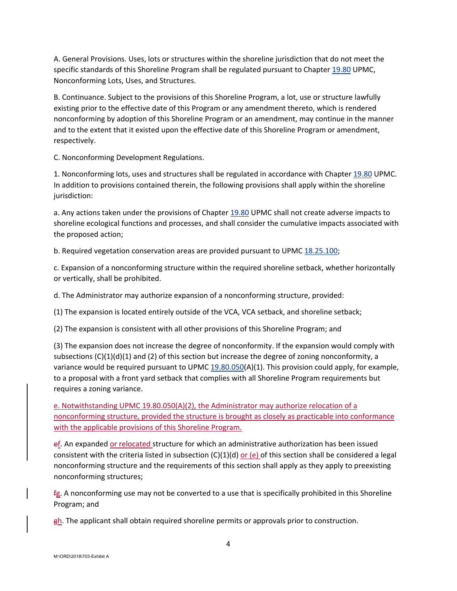A. General Provisions. Uses, lots or structures within the shoreline jurisdiction that do not meet the specific standards of this Shoreline Program shall be regulated pursuant to Chapter 19.80 UPMC, Nonconforming Lots, Uses, and Structures.

B. Continuance. Subject to the provisions of this Shoreline Program, a lot, use or structure lawfully existing prior to the effective date of this Program or any amendment thereto, which is rendered nonconforming by adoption of this Shoreline Program or an amendment, may continue in the manner and to the extent that it existed upon the effective date of this Shoreline Program or amendment, respectively.

C. Nonconforming Development Regulations.

1. Nonconforming lots, uses and structures shall be regulated in accordance with Chapter 19.80 UPMC. In addition to provisions contained therein, the following provisions shall apply within the shoreline jurisdiction:

a. Any actions taken under the provisions of Chapter 19.80 UPMC shall not create adverse impacts to shoreline ecological functions and processes, and shall consider the cumulative impacts associated with the proposed action;

b. Required vegetation conservation areas are provided pursuant to UPMC 18.25.100;

c. Expansion of a nonconforming structure within the required shoreline setback, whether horizontally or vertically, shall be prohibited.

d. The Administrator may authorize expansion of a nonconforming structure, provided:

(1) The expansion is located entirely outside of the VCA, VCA setback, and shoreline setback;

(2) The expansion is consistent with all other provisions of this Shoreline Program; and

(3) The expansion does not increase the degree of nonconformity. If the expansion would comply with subsections  $(C)(1)(d)(1)$  and (2) of this section but increase the degree of zoning nonconformity, a variance would be required pursuant to UPMC  $19.80.050(A)(1)$ . This provision could apply, for example, to a proposal with a front yard setback that complies with all Shoreline Program requirements but requires a zoning variance.

e. Notwithstanding UPMC 19.80.050(A)(2), the Administrator may authorize relocation of a nonconforming structure, provided the structure is brought as closely as practicable into conformance with the applicable provisions of this Shoreline Program.

ef. An expanded or relocated structure for which an administrative authorization has been issued consistent with the criteria listed in subsection  $(C)(1)(d)$  or  $(e)$  of this section shall be considered a legal nonconforming structure and the requirements of this section shall apply as they apply to preexisting nonconforming structures;

fg. A nonconforming use may not be converted to a use that is specifically prohibited in this Shoreline Program; and

 $gh$ . The applicant shall obtain required shoreline permits or approvals prior to construction.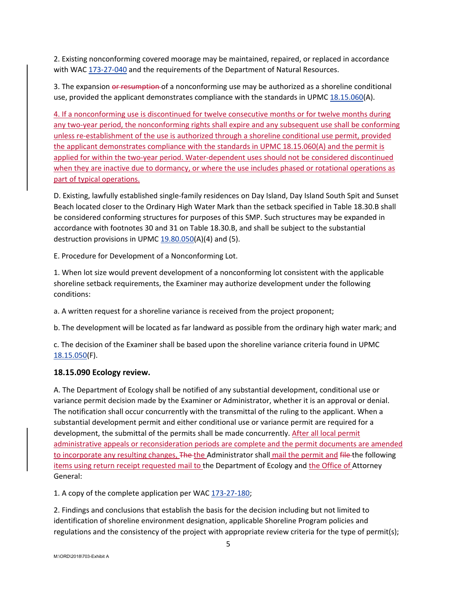2. Existing nonconforming covered moorage may be maintained, repaired, or replaced in accordance with WAC 173-27-040 and the requirements of the Department of Natural Resources.

3. The expansion or resumption of a nonconforming use may be authorized as a shoreline conditional use, provided the applicant demonstrates compliance with the standards in UPMC 18.15.060(A).

4. If a nonconforming use is discontinued for twelve consecutive months or for twelve months during any two-year period, the nonconforming rights shall expire and any subsequent use shall be conforming unless re-establishment of the use is authorized through a shoreline conditional use permit, provided the applicant demonstrates compliance with the standards in UPMC 18.15.060(A) and the permit is applied for within the two‐year period. Water‐dependent uses should not be considered discontinued when they are inactive due to dormancy, or where the use includes phased or rotational operations as part of typical operations.

D. Existing, lawfully established single‐family residences on Day Island, Day Island South Spit and Sunset Beach located closer to the Ordinary High Water Mark than the setback specified in Table 18.30.B shall be considered conforming structures for purposes of this SMP. Such structures may be expanded in accordance with footnotes 30 and 31 on Table 18.30.B, and shall be subject to the substantial destruction provisions in UPMC  $19.80.050(A)(4)$  and (5).

E. Procedure for Development of a Nonconforming Lot.

1. When lot size would prevent development of a nonconforming lot consistent with the applicable shoreline setback requirements, the Examiner may authorize development under the following conditions:

a. A written request for a shoreline variance is received from the project proponent;

b. The development will be located as far landward as possible from the ordinary high water mark; and

c. The decision of the Examiner shall be based upon the shoreline variance criteria found in UPMC 18.15.050(F).

## **18.15.090 Ecology review.**

A. The Department of Ecology shall be notified of any substantial development, conditional use or variance permit decision made by the Examiner or Administrator, whether it is an approval or denial. The notification shall occur concurrently with the transmittal of the ruling to the applicant. When a substantial development permit and either conditional use or variance permit are required for a development, the submittal of the permits shall be made concurrently. After all local permit administrative appeals or reconsideration periods are complete and the permit documents are amended to incorporate any resulting changes, The the Administrator shall mail the permit and file the following items using return receipt requested mail to the Department of Ecology and the Office of Attorney General:

1. A copy of the complete application per WAC 173-27-180;

2. Findings and conclusions that establish the basis for the decision including but not limited to identification of shoreline environment designation, applicable Shoreline Program policies and regulations and the consistency of the project with appropriate review criteria for the type of permit(s);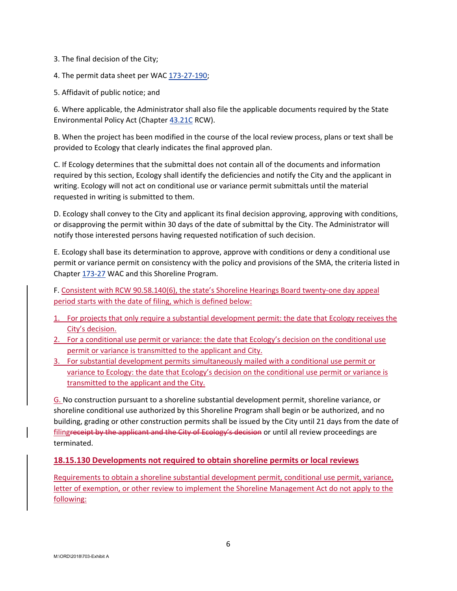3. The final decision of the City;

- 4. The permit data sheet per WAC 173-27-190;
- 5. Affidavit of public notice; and

6. Where applicable, the Administrator shall also file the applicable documents required by the State Environmental Policy Act (Chapter 43.21C RCW).

B. When the project has been modified in the course of the local review process, plans or text shall be provided to Ecology that clearly indicates the final approved plan.

C. If Ecology determines that the submittal does not contain all of the documents and information required by this section, Ecology shall identify the deficiencies and notify the City and the applicant in writing. Ecology will not act on conditional use or variance permit submittals until the material requested in writing is submitted to them.

D. Ecology shall convey to the City and applicant its final decision approving, approving with conditions, or disapproving the permit within 30 days of the date of submittal by the City. The Administrator will notify those interested persons having requested notification of such decision.

E. Ecology shall base its determination to approve, approve with conditions or deny a conditional use permit or variance permit on consistency with the policy and provisions of the SMA, the criteria listed in Chapter 173‐27 WAC and this Shoreline Program.

F. Consistent with RCW 90.58.140(6), the state's Shoreline Hearings Board twenty-one day appeal period starts with the date of filing, which is defined below:

- 1. For projects that only require a substantial development permit: the date that Ecology receives the City's decision.
- 2. For a conditional use permit or variance: the date that Ecology's decision on the conditional use permit or variance is transmitted to the applicant and City.
- 3. For substantial development permits simultaneously mailed with a conditional use permit or variance to Ecology: the date that Ecology's decision on the conditional use permit or variance is transmitted to the applicant and the City.

G. No construction pursuant to a shoreline substantial development permit, shoreline variance, or shoreline conditional use authorized by this Shoreline Program shall begin or be authorized, and no building, grading or other construction permits shall be issued by the City until 21 days from the date of filingreceipt by the applicant and the City of Ecology's decision or until all review proceedings are terminated.

### **18.15.130 Developments not required to obtain shoreline permits or local reviews**

Requirements to obtain a shoreline substantial development permit, conditional use permit, variance, letter of exemption, or other review to implement the Shoreline Management Act do not apply to the following: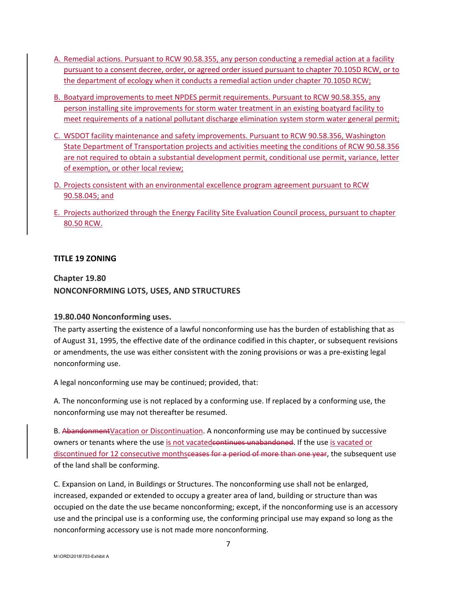- A. Remedial actions. Pursuant to RCW 90.58.355, any person conducting a remedial action at a facility pursuant to a consent decree, order, or agreed order issued pursuant to chapter 70.105D RCW, or to the department of ecology when it conducts a remedial action under chapter 70.105D RCW;
- B. Boatyard improvements to meet NPDES permit requirements. Pursuant to RCW 90.58.355, any person installing site improvements for storm water treatment in an existing boatyard facility to meet requirements of a national pollutant discharge elimination system storm water general permit;
- C. WSDOT facility maintenance and safety improvements. Pursuant to RCW 90.58.356, Washington State Department of Transportation projects and activities meeting the conditions of RCW 90.58.356 are not required to obtain a substantial development permit, conditional use permit, variance, letter of exemption, or other local review;
- D. Projects consistent with an environmental excellence program agreement pursuant to RCW 90.58.045; and
- E. Projects authorized through the Energy Facility Site Evaluation Council process, pursuant to chapter 80.50 RCW.

## **TITLE 19 ZONING**

# **Chapter 19.80 NONCONFORMING LOTS, USES, AND STRUCTURES**

### **19.80.040 Nonconforming uses.**

The party asserting the existence of a lawful nonconforming use has the burden of establishing that as of August 31, 1995, the effective date of the ordinance codified in this chapter, or subsequent revisions or amendments, the use was either consistent with the zoning provisions or was a pre‐existing legal nonconforming use.

A legal nonconforming use may be continued; provided, that:

A. The nonconforming use is not replaced by a conforming use. If replaced by a conforming use, the nonconforming use may not thereafter be resumed.

B. Abandonment Vacation or Discontinuation. A nonconforming use may be continued by successive owners or tenants where the use is not vacatedcontinues unabandoned. If the use is vacated or discontinued for 12 consecutive monthsceases for a period of more than one year, the subsequent use of the land shall be conforming.

C. Expansion on Land, in Buildings or Structures. The nonconforming use shall not be enlarged, increased, expanded or extended to occupy a greater area of land, building or structure than was occupied on the date the use became nonconforming; except, if the nonconforming use is an accessory use and the principal use is a conforming use, the conforming principal use may expand so long as the nonconforming accessory use is not made more nonconforming.